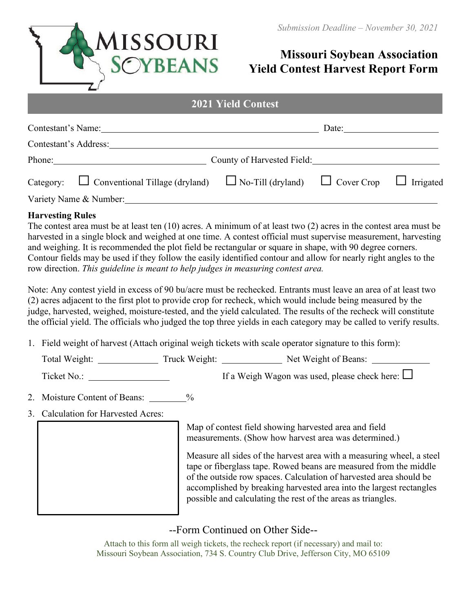

# **Missouri Soybean Association Yield Contest Harvest Report Form**

| <b><i>LULI</i> LIGIU CONCSU</b>                 |                                                             |       |  |  |  |  |
|-------------------------------------------------|-------------------------------------------------------------|-------|--|--|--|--|
| Contestant's Name:                              |                                                             | Date: |  |  |  |  |
| Contestant's Address:                           |                                                             |       |  |  |  |  |
| Phone:                                          | County of Harvested Field:                                  |       |  |  |  |  |
| Category: $\Box$ Conventional Tillage (dryland) | $\Box$ No-Till (dryland) $\Box$ Cover Crop $\Box$ Irrigated |       |  |  |  |  |
| Variety Name & Number:                          |                                                             |       |  |  |  |  |

**2021 Yield Contest**

#### **Harvesting Rules**

The contest area must be at least ten (10) acres. A minimum of at least two (2) acres in the contest area must be harvested in a single block and weighed at one time. A contest official must supervise measurement, harvesting and weighing. It is recommended the plot field be rectangular or square in shape, with 90 degree corners. Contour fields may be used if they follow the easily identified contour and allow for nearly right angles to the row direction. *This guideline is meant to help judges in measuring contest area.*

Note: Any contest yield in excess of 90 bu/acre must be rechecked. Entrants must leave an area of at least two (2) acres adjacent to the first plot to provide crop for recheck, which would include being measured by the judge, harvested, weighed, moisture-tested, and the yield calculated. The results of the recheck will constitute the official yield. The officials who judged the top three yields in each category may be called to verify results.

1. Field weight of harvest (Attach original weigh tickets with scale operator signature to this form):

| Total Weight:<br>Truck Weight: | Net Weight of Beans: |
|--------------------------------|----------------------|
|--------------------------------|----------------------|

Ticket No.: If a Weigh Wagon was used, please check here: □

- 2. Moisture Content of Beans:  $\%$
- 3. Calculation for Harvested Acres:

Map of contest field showing harvested area and field measurements. (Show how harvest area was determined.)

Measure all sides of the harvest area with a measuring wheel, a steel tape or fiberglass tape. Rowed beans are measured from the middle of the outside row spaces. Calculation of harvested area should be accomplished by breaking harvested area into the largest rectangles possible and calculating the rest of the areas as triangles.

## --Form Continued on Other Side--

Attach to this form all weigh tickets, the recheck report (if necessary) and mail to: Missouri Soybean Association, 734 S. Country Club Drive, Jefferson City, MO 65109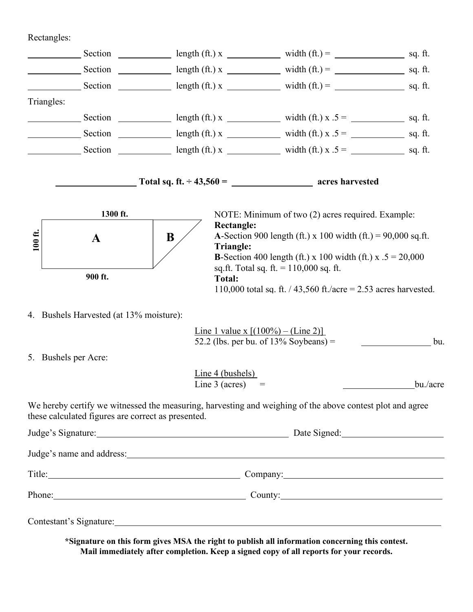## Rectangles:

|            |                                                    |                                        | Section $\_\_\_\_\_\$ length (ft.) x $\_\_\_\_\_\$ width (ft.) = $\_\_\_\_\_\_\_\_\$ sq. ft.                                                                                                                                   |          |  |
|------------|----------------------------------------------------|----------------------------------------|--------------------------------------------------------------------------------------------------------------------------------------------------------------------------------------------------------------------------------|----------|--|
|            |                                                    |                                        | Section $\_\_\_\_\_\$ length (ft.) x $\_\_\_\_\_\$ width (ft.) = $\_\_\_\_\_\_\_\_\$ sq. ft.                                                                                                                                   |          |  |
|            |                                                    |                                        | Section $\_\_\_\_\_\$ length (ft.) x $\_\_\_\_\_\$ width (ft.) = $\_\_\_\_\_\_\_\_\$ sq. ft.                                                                                                                                   |          |  |
| Triangles: |                                                    |                                        |                                                                                                                                                                                                                                |          |  |
|            |                                                    |                                        | Section $\frac{1}{\cos(1+x)}$ length (ft.) x $\frac{1}{\cos(1+x)}$ width (ft.) x .5 = $\frac{1}{\cos(1+x)}$ sq. ft.                                                                                                            |          |  |
|            |                                                    |                                        |                                                                                                                                                                                                                                |          |  |
|            |                                                    |                                        |                                                                                                                                                                                                                                |          |  |
|            |                                                    |                                        | $\frac{1}{2}$ Total sq. ft. $\div$ 43,560 = $\frac{1}{2}$ acres harvested                                                                                                                                                      |          |  |
|            | 1300 ft.                                           |                                        | NOTE: Minimum of two (2) acres required. Example:                                                                                                                                                                              |          |  |
| 100 ft.    | A                                                  | <b>Rectangle:</b><br>B<br>Triangle:    | <b>A-Section 900 length (ft.)</b> x 100 width (ft.) = 90,000 sq.ft.<br><b>B</b> -Section 400 length (ft.) x 100 width (ft.) x $.5 = 20,000$<br>sq.ft. Total sq. ft. $= 110,000$ sq. ft.                                        |          |  |
|            | 900 ft.                                            | <b>Total:</b>                          | 110,000 total sq. ft. $/$ 43,560 ft./acre = 2.53 acres harvested.                                                                                                                                                              |          |  |
|            | 4. Bushels Harvested (at 13% moisture):            |                                        |                                                                                                                                                                                                                                |          |  |
|            |                                                    |                                        | <u>Line 1 value x <math>[(100\%) - (Line 2)]</math></u><br>52.2 (lbs. per bu. of $13\%$ Soybeans) =                                                                                                                            | bu.      |  |
|            | 5. Bushels per Acre:                               |                                        |                                                                                                                                                                                                                                |          |  |
|            |                                                    | Line $4$ (bushels)<br>Line $3$ (acres) | $=$                                                                                                                                                                                                                            | bu./acre |  |
|            | these calculated figures are correct as presented. |                                        | We hereby certify we witnessed the measuring, harvesting and weighing of the above contest plot and agree                                                                                                                      |          |  |
|            |                                                    |                                        |                                                                                                                                                                                                                                |          |  |
|            |                                                    |                                        |                                                                                                                                                                                                                                |          |  |
|            |                                                    |                                        | Title: Company: Company:                                                                                                                                                                                                       |          |  |
|            |                                                    | Phone: County: County:                 |                                                                                                                                                                                                                                |          |  |
|            |                                                    |                                        | Contestant's Signature: New York: New York: New York: New York: New York: New York: New York: New York: New York: New York: New York: New York: New York: New York: New York: New York: New York: New York: New York: New York |          |  |

**\*Signature on this form gives MSA the right to publish all information concerning this contest. Mail immediately after completion. Keep a signed copy of all reports for your records.**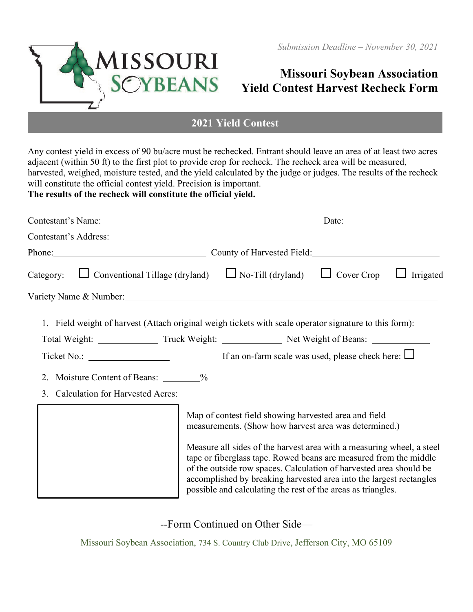

# **Missouri Soybean Association Yield Contest Harvest Recheck Form**

## **2021 Yield Contest**

Any contest yield in excess of 90 bu/acre must be rechecked. Entrant should leave an area of at least two acres adjacent (within 50 ft) to the first plot to provide crop for recheck. The recheck area will be measured, harvested, weighed, moisture tested, and the yield calculated by the judge or judges. The results of the recheck will constitute the official contest vield. Precision is important. **The results of the recheck will constitute the official yield.**

Contestant's Name: Date: Date: Contestant's Address: Phone: County of Harvested Field: Category: □ Conventional Tillage (dryland) □ No-Till (dryland) □ Cover Crop □ Irrigated Variety Name & Number: 1. Field weight of harvest (Attach original weigh tickets with scale operator signature to this form): Total Weight: Truck Weight: Net Weight of Beans: Ticket No.: If an on-farm scale was used, please check here:  $□$ 2. Moisture Content of Beans: \_ % 3. Calculation for Harvested Acres: Map of contest field showing harvested area and field measurements. (Show how harvest area was determined.) Measure all sides of the harvest area with a measuring wheel, a steel tape or fiberglass tape. Rowed beans are measured from the middle of the outside row spaces. Calculation of harvested area should be accomplished by breaking harvested area into the largest rectangles possible and calculating the rest of the areas as triangles.

--Form Continued on Other Side—

Missouri Soybean Association, 734 S. Country Club Drive, Jefferson City, MO 65109